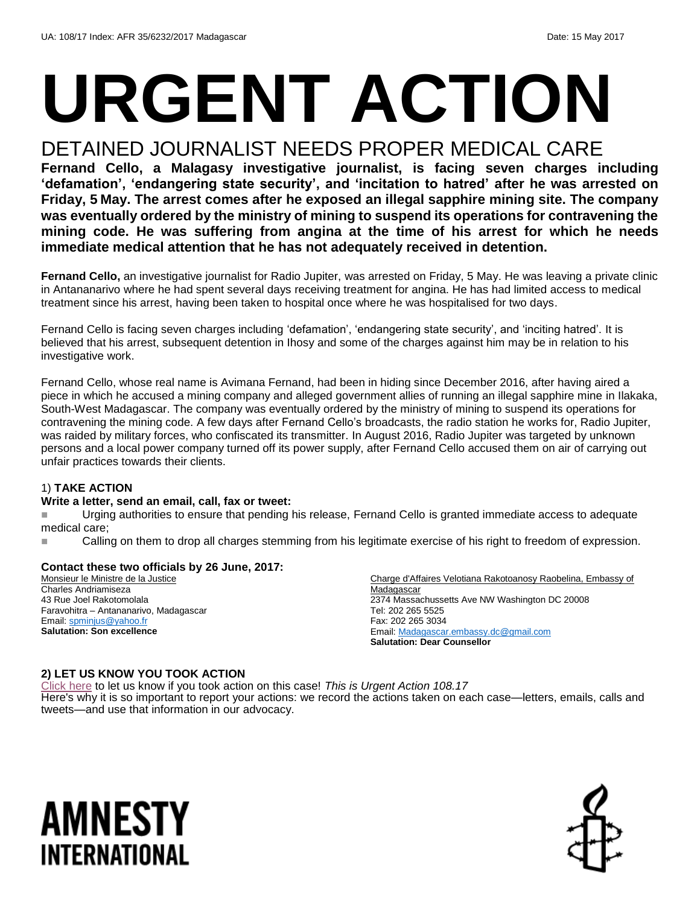# **URGENT ACTION**

## DETAINED JOURNALIST NEEDS PROPER MEDICAL CARE

**Fernand Cello, a Malagasy investigative journalist, is facing seven charges including 'defamation', 'endangering state security', and 'incitation to hatred' after he was arrested on Friday, 5 May. The arrest comes after he exposed an illegal sapphire mining site. The company was eventually ordered by the ministry of mining to suspend its operations for contravening the mining code. He was suffering from angina at the time of his arrest for which he needs immediate medical attention that he has not adequately received in detention.** 

**Fernand Cello,** an investigative journalist for Radio Jupiter, was arrested on Friday, 5 May. He was leaving a private clinic in Antananarivo where he had spent several days receiving treatment for angina. He has had limited access to medical treatment since his arrest, having been taken to hospital once where he was hospitalised for two days.

Fernand Cello is facing seven charges including 'defamation', 'endangering state security', and 'inciting hatred'. It is believed that his arrest, subsequent detention in Ihosy and some of the charges against him may be in relation to his investigative work.

Fernand Cello, whose real name is Avimana Fernand, had been in hiding since December 2016, after having aired a piece in which he accused a mining company and alleged government allies of running an illegal sapphire mine in Ilakaka, South-West Madagascar. The company was eventually ordered by the ministry of mining to suspend its operations for contravening the mining code. A few days after Fernand Cello's broadcasts, the radio station he works for, Radio Jupiter, was raided by military forces, who confiscated its transmitter. In August 2016, Radio Jupiter was targeted by unknown persons and a local power company turned off its power supply, after Fernand Cello accused them on air of carrying out unfair practices towards their clients.

#### 1) **TAKE ACTION**

#### **Write a letter, send an email, call, fax or tweet:**

Urging authorities to ensure that pending his release, Fernand Cello is granted immediate access to adequate medical care;

Calling on them to drop all charges stemming from his legitimate exercise of his right to freedom of expression.

#### **Contact these two officials by 26 June, 2017:**

Monsieur le Ministre de la Justice Charles Andriamiseza 43 Rue Joel Rakotomolala Faravohitra – Antananarivo, Madagascar Email[: spminjus@yahoo.fr](mailto:spminjus@yahoo.fr) **Salutation: Son excellence**

Charge d'Affaires Velotiana Rakotoanosy Raobelina, Embassy of **Madagascar** 2374 Massachussetts Ave NW Washington DC 20008 Tel: 202 265 5525 Fax: 202 265 3034 Email[: Madagascar.embassy.dc@gmail.com](mailto:Madagascar.embassy.dc@gmail.com) **Salutation: Dear Counsellor**

#### **2) LET US KNOW YOU TOOK ACTION**

[Click here](https://docs.google.com/forms/d/e/1FAIpQLScIt-IKXjz0vOhKI-Te7gy7EmtiwCq5D-fD6EGVHOxNcvUgKw/viewform) to let us know if you took action on this case! *This is Urgent Action 108.17* Here's why it is so important to report your actions: we record the actions taken on each case—letters, emails, calls and tweets—and use that information in our advocacy.